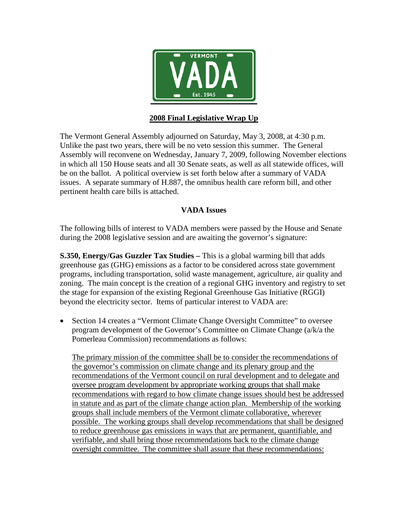

## **2008 Final Legislative Wrap Up**

The Vermont General Assembly adjourned on Saturday, May 3, 2008, at 4:30 p.m. Unlike the past two years, there will be no veto session this summer. The General Assembly will reconvene on Wednesday, January 7, 2009, following November elections in which all 150 House seats and all 30 Senate seats, as well as all statewide offices, will be on the ballot. A political overview is set forth below after a summary of VADA issues. A separate summary of H.887, the omnibus health care reform bill, and other pertinent health care bills is attached.

### **VADA Issues**

The following bills of interest to VADA members were passed by the House and Senate during the 2008 legislative session and are awaiting the governor's signature:

**S.350, Energy/Gas Guzzler Tax Studies –** This is a global warming bill that adds greenhouse gas (GHG) emissions as a factor to be considered across state government programs, including transportation, solid waste management, agriculture, air quality and zoning. The main concept is the creation of a regional GHG inventory and registry to set the stage for expansion of the existing Regional Greenhouse Gas Initiative (RGGI) beyond the electricity sector. Items of particular interest to VADA are:

• Section 14 creates a "Vermont Climate Change Oversight Committee" to oversee program development of the Governor's Committee on Climate Change (a/k/a the Pomerleau Commission) recommendations as follows:

The primary mission of the committee shall be to consider the recommendations of the governor's commission on climate change and its plenary group and the recommendations of the Vermont council on rural development and to delegate and oversee program development by appropriate working groups that shall make recommendations with regard to how climate change issues should best be addressed in statute and as part of the climate change action plan. Membership of the working groups shall include members of the Vermont climate collaborative, wherever possible. The working groups shall develop recommendations that shall be designed to reduce greenhouse gas emissions in ways that are permanent, quantifiable, and verifiable, and shall bring those recommendations back to the climate change oversight committee. The committee shall assure that these recommendations: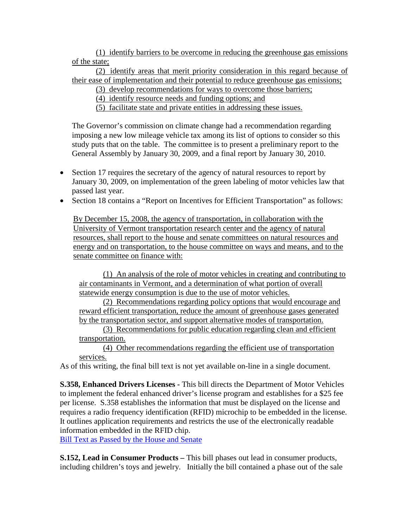(1) identify barriers to be overcome in reducing the greenhouse gas emissions of the state;

(2) identify areas that merit priority consideration in this regard because of their ease of implementation and their potential to reduce greenhouse gas emissions;

(3) develop recommendations for ways to overcome those barriers;

(4) identify resource needs and funding options; and

(5) facilitate state and private entities in addressing these issues.

The Governor's commission on climate change had a recommendation regarding imposing a new low mileage vehicle tax among its list of options to consider so this study puts that on the table. The committee is to present a preliminary report to the General Assembly by January 30, 2009, and a final report by January 30, 2010.

- Section 17 requires the secretary of the agency of natural resources to report by January 30, 2009, on implementation of the green labeling of motor vehicles law that passed last year.
- Section 18 contains a "Report on Incentives for Efficient Transportation" as follows:

By December 15, 2008, the agency of transportation, in collaboration with the University of Vermont transportation research center and the agency of natural resources, shall report to the house and senate committees on natural resources and energy and on transportation, to the house committee on ways and means, and to the senate committee on finance with:

(1) An analysis of the role of motor vehicles in creating and contributing to air contaminants in Vermont, and a determination of what portion of overall statewide energy consumption is due to the use of motor vehicles.

(2) Recommendations regarding policy options that would encourage and reward efficient transportation, reduce the amount of greenhouse gases generated by the transportation sector, and support alternative modes of transportation.

(3) Recommendations for public education regarding clean and efficient transportation.

(4) Other recommendations regarding the efficient use of transportation services.

As of this writing, the final bill text is not yet available on-line in a single document.

**S.358, Enhanced Drivers Licenses -** This bill directs the Department of Motor Vehicles to implement the federal enhanced driver's license program and establishes for a \$25 fee per license. S.358 establishes the information that must be displayed on the license and requires a radio frequency identification (RFID) microchip to be embedded in the license. It outlines application requirements and restricts the use of the electronically readable information embedded in the RFID chip.

[Bill Text as Passed by the House and Senate](http://www.leg.state.vt.us/docs/legdoc.cfm?URL=/docs/2008/bills/passed/S-358.HTM)

**S.152, Lead in Consumer Products –** This bill phases out lead in consumer products, including children's toys and jewelry. Initially the bill contained a phase out of the sale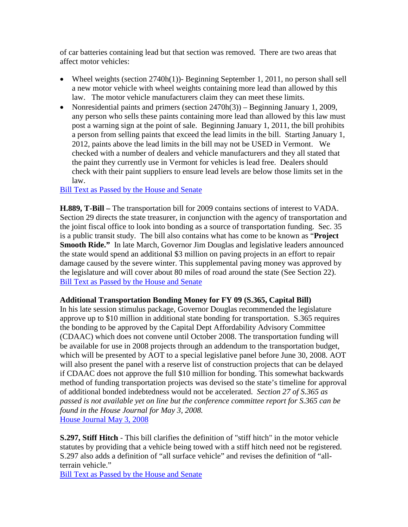of car batteries containing lead but that section was removed. There are two areas that affect motor vehicles:

- Wheel weights (section 2740h(1))- Beginning September 1, 2011, no person shall sell a new motor vehicle with wheel weights containing more lead than allowed by this law. The motor vehicle manufacturers claim they can meet these limits.
- Nonresidential paints and primers (section  $2470h(3)$ ) Beginning January 1, 2009, any person who sells these paints containing more lead than allowed by this law must post a warning sign at the point of sale. Beginning January 1, 2011, the bill prohibits a person from selling paints that exceed the lead limits in the bill. Starting January 1, 2012, paints above the lead limits in the bill may not be USED in Vermont. We checked with a number of dealers and vehicle manufacturers and they all stated that the paint they currently use in Vermont for vehicles is lead free. Dealers should check with their paint suppliers to ensure lead levels are below those limits set in the law.

[Bill Text as Passed by the House and Senate](http://www.leg.state.vt.us/docs/legdoc.cfm?URL=/docs/2008/bills/passed/S-152.HTM)

**H.889, T-Bill –** The transportation bill for 2009 contains sections of interest to VADA. Section 29 directs the state treasurer, in conjunction with the agency of transportation and the joint fiscal office to look into bonding as a source of transportation funding. Sec. 35 is a public transit study. The bill also contains what has come to be known as "**Project Smooth Ride."** In late March, Governor Jim Douglas and legislative leaders announced the state would spend an additional \$3 million on paving projects in an effort to repair damage caused by the severe winter. This supplemental paving money was approved by the legislature and will cover about 80 miles of road around the state (See Section 22). [Bill Text as Passed by the House and Senate](http://www.leg.state.vt.us/docs/legdoc.cfm?URL=/docs/2008/bills/passed/H-889.HTM)

### **Additional Transportation Bonding Money for FY 09 (S.365, Capital Bill)**

In his late session stimulus package, Governor Douglas recommended the legislature approve up to \$10 million in additional state bonding for transportation. S.365 requires the bonding to be approved by the Capital Dept Affordability Advisory Committee (CDAAC) which does not convene until October 2008. The transportation funding will be available for use in 2008 projects through an addendum to the transportation budget, which will be presented by AOT to a special legislative panel before June 30, 2008. AOT will also present the panel with a reserve list of construction projects that can be delayed if CDAAC does not approve the full \$10 million for bonding. This somewhat backwards method of funding transportation projects was devised so the state's timeline for approval of additional bonded indebtedness would not be accelerated. *Section 27 of S.365 as passed is not available yet on line but the conference committee report for S.365 can be found in the House Journal for May 3, 2008.*  [House Journal May 3, 2008](http://www.leg.state.vt.us/docs/legdoc.cfm?URL=/docs/2008/journal/hj080503.htm)

**S.297, Stiff Hitch** - This bill clarifies the definition of "stiff hitch" in the motor vehicle statutes by providing that a vehicle being towed with a stiff hitch need not be registered. S.297 also adds a definition of "all surface vehicle" and revises the definition of "allterrain vehicle."

[Bill Text as Passed by the House and Senate](http://www.leg.state.vt.us/docs/legdoc.cfm?URL=/docs/2008/bills/passed/S-297.HTM)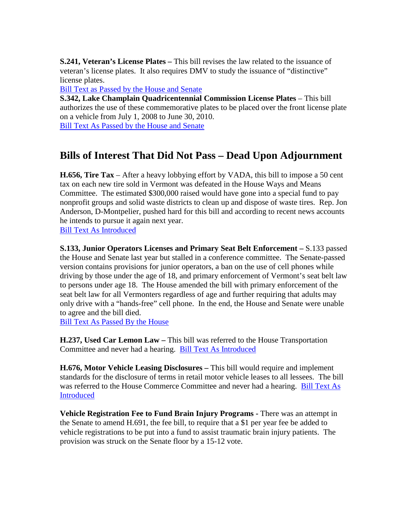**S.241, Veteran's License Plates –** This bill revises the law related to the issuance of veteran's license plates. It also requires DMV to study the issuance of "distinctive" license plates.

[Bill Text as Passed by the House and Senate](http://www.leg.state.vt.us/docs/legdoc.cfm?URL=/docs/2008/bills/passed/S-241.HTM)

**S.342, Lake Champlain Quadricentennial Commission License Plates** – This bill authorizes the use of these commemorative plates to be placed over the front license plate on a vehicle from July 1, 2008 to June 30, 2010.

[Bill Text As Passed by the House and Senate](http://www.leg.state.vt.us/docs/legdoc.cfm?URL=/docs/2008/bills/passed/S-342.HTM)

# **Bills of Interest That Did Not Pass – Dead Upon Adjournment**

**H.656, Tire Tax** – After a heavy lobbying effort by VADA, this bill to impose a 50 cent tax on each new tire sold in Vermont was defeated in the House Ways and Means Committee. The estimated \$300,000 raised would have gone into a special fund to pay nonprofit groups and solid waste districts to clean up and dispose of waste tires. Rep. Jon Anderson, D-Montpelier, pushed hard for this bill and according to recent news accounts he intends to pursue it again next year.

[Bill Text As Introduced](http://www.leg.state.vt.us/docs/legdoc.cfm?URL=/docs/2008/bills/intro/H-656.HTM)

**S.133, Junior Operators Licenses and Primary Seat Belt Enforcement –** S.133 passed the House and Senate last year but stalled in a conference committee. The Senate-passed version contains provisions for junior operators, a ban on the use of cell phones while driving by those under the age of 18, and primary enforcement of Vermont's seat belt law to persons under age 18. The House amended the bill with primary enforcement of the seat belt law for all Vermonters regardless of age and further requiring that adults may only drive with a "hands-free" cell phone. In the end, the House and Senate were unable to agree and the bill died.

[Bill Text As Passed By the House](http://www.leg.state.vt.us/docs/legdoc.cfm?URL=/docs/2008/bills/house/S-133.HTM)

**H.237, Used Car Lemon Law –** This bill was referred to the House Transportation Committee and never had a hearing. [Bill Text As Introduced](http://www.leg.state.vt.us/docs/legdoc.cfm?URL=/docs/2008/bills/intro/H-237.HTM)

**H.676, Motor Vehicle Leasing Disclosures –** This bill would require and implement standards for the disclosure of terms in retail motor vehicle leases to all lessees. The bill was referred to the House Commerce Committee and never had a hearing. Bill Text As [Introduced](http://www.leg.state.vt.us/docs/legdoc.cfm?URL=/docs/2008/bills/intro/H-676.HTM)

**Vehicle Registration Fee to Fund Brain Injury Programs -** There was an attempt in the Senate to amend H.691, the fee bill, to require that a \$1 per year fee be added to vehicle registrations to be put into a fund to assist traumatic brain injury patients. The provision was struck on the Senate floor by a 15-12 vote.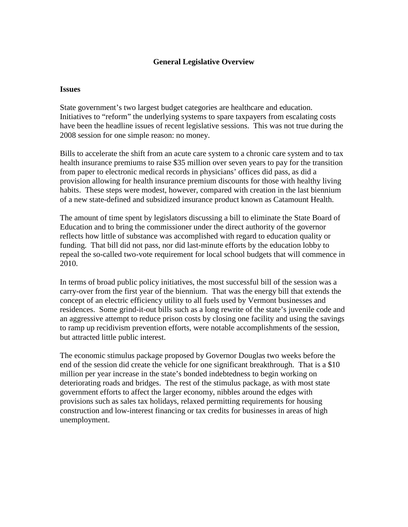### **General Legislative Overview**

#### **Issues**

State government's two largest budget categories are healthcare and education. Initiatives to "reform" the underlying systems to spare taxpayers from escalating costs have been the headline issues of recent legislative sessions. This was not true during the 2008 session for one simple reason: no money.

Bills to accelerate the shift from an acute care system to a chronic care system and to tax health insurance premiums to raise \$35 million over seven years to pay for the transition from paper to electronic medical records in physicians' offices did pass, as did a provision allowing for health insurance premium discounts for those with healthy living habits. These steps were modest, however, compared with creation in the last biennium of a new state-defined and subsidized insurance product known as Catamount Health.

The amount of time spent by legislators discussing a bill to eliminate the State Board of Education and to bring the commissioner under the direct authority of the governor reflects how little of substance was accomplished with regard to education quality or funding. That bill did not pass, nor did last-minute efforts by the education lobby to repeal the so-called two-vote requirement for local school budgets that will commence in 2010.

In terms of broad public policy initiatives, the most successful bill of the session was a carry-over from the first year of the biennium. That was the energy bill that extends the concept of an electric efficiency utility to all fuels used by Vermont businesses and residences. Some grind-it-out bills such as a long rewrite of the state's juvenile code and an aggressive attempt to reduce prison costs by closing one facility and using the savings to ramp up recidivism prevention efforts, were notable accomplishments of the session, but attracted little public interest.

The economic stimulus package proposed by Governor Douglas two weeks before the end of the session did create the vehicle for one significant breakthrough. That is a \$10 million per year increase in the state's bonded indebtedness to begin working on deteriorating roads and bridges. The rest of the stimulus package, as with most state government efforts to affect the larger economy, nibbles around the edges with provisions such as sales tax holidays, relaxed permitting requirements for housing construction and low-interest financing or tax credits for businesses in areas of high unemployment.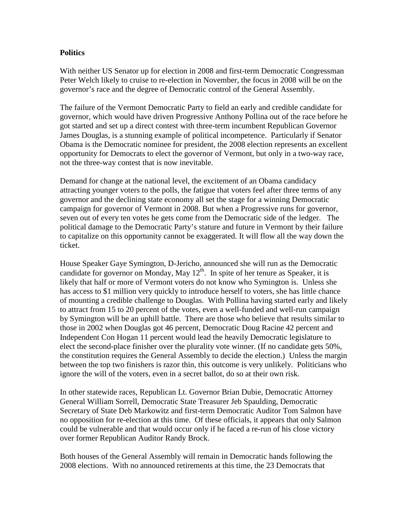### **Politics**

With neither US Senator up for election in 2008 and first-term Democratic Congressman Peter Welch likely to cruise to re-election in November, the focus in 2008 will be on the governor's race and the degree of Democratic control of the General Assembly.

The failure of the Vermont Democratic Party to field an early and credible candidate for governor, which would have driven Progressive Anthony Pollina out of the race before he got started and set up a direct contest with three-term incumbent Republican Governor James Douglas, is a stunning example of political incompetence. Particularly if Senator Obama is the Democratic nominee for president, the 2008 election represents an excellent opportunity for Democrats to elect the governor of Vermont, but only in a two-way race, not the three-way contest that is now inevitable.

Demand for change at the national level, the excitement of an Obama candidacy attracting younger voters to the polls, the fatigue that voters feel after three terms of any governor and the declining state economy all set the stage for a winning Democratic campaign for governor of Vermont in 2008. But when a Progressive runs for governor, seven out of every ten votes he gets come from the Democratic side of the ledger. The political damage to the Democratic Party's stature and future in Vermont by their failure to capitalize on this opportunity cannot be exaggerated. It will flow all the way down the ticket.

House Speaker Gaye Symington, D-Jericho, announced she will run as the Democratic candidate for governor on Monday, May  $12^{th}$ . In spite of her tenure as Speaker, it is likely that half or more of Vermont voters do not know who Symington is. Unless she has access to \$1 million very quickly to introduce herself to voters, she has little chance of mounting a credible challenge to Douglas. With Pollina having started early and likely to attract from 15 to 20 percent of the votes, even a well-funded and well-run campaign by Symington will be an uphill battle. There are those who believe that results similar to those in 2002 when Douglas got 46 percent, Democratic Doug Racine 42 percent and Independent Con Hogan 11 percent would lead the heavily Democratic legislature to elect the second-place finisher over the plurality vote winner. (If no candidate gets 50%, the constitution requires the General Assembly to decide the election.) Unless the margin between the top two finishers is razor thin, this outcome is very unlikely. Politicians who ignore the will of the voters, even in a secret ballot, do so at their own risk.

In other statewide races, Republican Lt. Governor Brian Dubie, Democratic Attorney General William Sorrell, Democratic State Treasurer Jeb Spaulding, Democratic Secretary of State Deb Markowitz and first-term Democratic Auditor Tom Salmon have no opposition for re-election at this time. Of these officials, it appears that only Salmon could be vulnerable and that would occur only if he faced a re-run of his close victory over former Republican Auditor Randy Brock.

Both houses of the General Assembly will remain in Democratic hands following the 2008 elections. With no announced retirements at this time, the 23 Democrats that